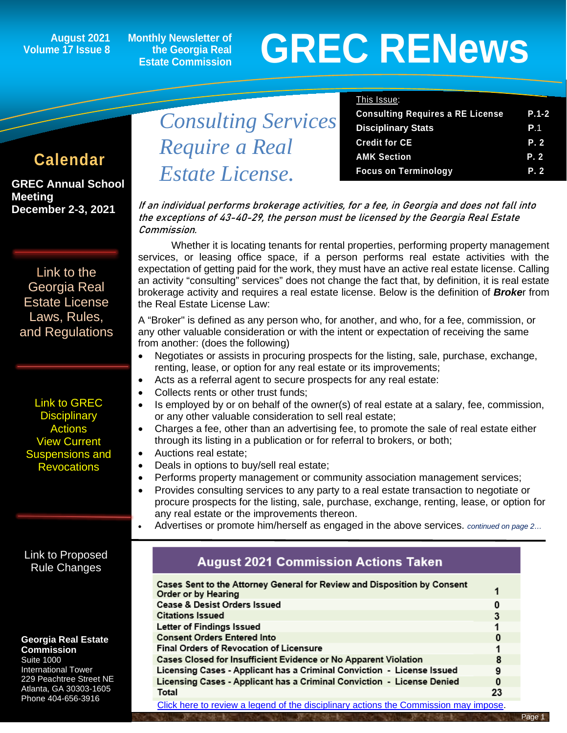**August 2021 Volume 17 Issue 8**

**GREC Annual School** 

**December 2-3, 2021** 

[Link to the](https://grec.state.ga.us/information-research/license-law/)  [Georgia Real](https://grec.state.ga.us/information-research/license-law/)  [Estate License](https://grec.state.ga.us/information-research/license-law/)  [Laws, Rules,](https://grec.state.ga.us/information-research/license-law/)  [and Regulations](https://grec.state.ga.us/information-research/license-law/)

[Link to GREC](https://grec.state.ga.us/information-research/disciplinary-actions/real-estate/)  **Disciplinary Actions** [View Current](https://grec.state.ga.us/information-research/disciplinary-actions/real-estate/)  [Suspensions and](https://grec.state.ga.us/information-research/disciplinary-actions/real-estate/)  **[Revocations](https://grec.state.ga.us/information-research/disciplinary-actions/real-estate/)** 

**Meeting**

**Monthly Newsletter of the Georgia Real Estate Commission**

*Estate License.*

# **GREC RENewsGREC RENews**

#### This Issue:

|                 |                            | <b>Consulting Requires a RE License</b> | $P.1 - 2$  |
|-----------------|----------------------------|-----------------------------------------|------------|
|                 | <b>Consulting Services</b> | <b>Disciplinary Stats</b>               | <b>P</b> 1 |
| <b>Calendar</b> | Require a Real             | <b>Credit for CE</b>                    | P. 2       |
|                 |                            | <b>AMK Section</b>                      | P. 2       |
|                 | Estate License             | <b>Focus on Terminology</b>             | P. 2       |

If an individual performs brokerage activities, for a fee, in Georgia and does not fall into the exceptions of 43-40-29, the person must be licensed by the Georgia Real Estate Commission.

Whether it is locating tenants for rental properties, performing property management services, or leasing office space, if a person performs real estate activities with the expectation of getting paid for the work, they must have an active real estate license. Calling an activity "consulting" services" does not change the fact that, by definition, it is real estate brokerage activity and requires a real estate license. Below is the definition of *Broke*r from the Real Estate License Law:

A "Broker" is defined as any person who, for another, and who, for a fee, commission, or any other valuable consideration or with the intent or expectation of receiving the same from another: (does the following)

- Negotiates or assists in procuring prospects for the listing, sale, purchase, exchange, renting, lease, or option for any real estate or its improvements;
- Acts as a referral agent to secure prospects for any real estate:
- Collects rents or other trust funds;
- Is employed by or on behalf of the owner(s) of real estate at a salary, fee, commission, or any other valuable consideration to sell real estate;
- Charges a fee, other than an advertising fee, to promote the sale of real estate either through its listing in a publication or for referral to brokers, or both;
- Auctions real estate;
- Deals in options to buy/sell real estate;
- Performs property management or community association management services;
- Provides consulting services to any party to a real estate transaction to negotiate or procure prospects for the listing, sale, purchase, exchange, renting, lease, or option for any real estate or the improvements thereon.
	- Advertises or promote him/herself as engaged in the above services. *continued on page 2…*

[Link to Proposed](https://grec.state.ga.us/proposed-rule-change/)  [Rule Changes](https://grec.state.ga.us/information-research/legislation/real-estate/)

**Georgia Real Estate Commission**

Suite 1000 International Tower 229 Peachtree Street NE Atlanta, GA 30303-1605 Phone 404-656-3916

#### **August 2021 Commission Actions Taken**

| Cases Sent to the Attorney General for Review and Disposition by Consent<br>Order or by Hearing            |    |  |
|------------------------------------------------------------------------------------------------------------|----|--|
| <b>Cease &amp; Desist Orders Issued</b>                                                                    | 0  |  |
| <b>Citations Issued</b>                                                                                    | 3  |  |
| Letter of Findings Issued                                                                                  |    |  |
| <b>Consent Orders Entered Into</b>                                                                         |    |  |
| <b>Final Orders of Revocation of Licensure</b>                                                             |    |  |
| Cases Closed for Insufficient Evidence or No Apparent Violation                                            | 8  |  |
| Licensing Cases - Applicant has a Criminal Conviction - License Issued                                     | 9  |  |
| Licensing Cases - Applicant has a Criminal Conviction - License Denied                                     | 0  |  |
| Total                                                                                                      | 23 |  |
| APTER FOR A STRIP IS FOR A LIGHT $\ell$ and a Probability is a saturated A strip is the strip is the strip |    |  |

[Click here to review a legend of the disciplinary actions the Commission may impose.](https://www.jmre.com/grec/GRECDisciplinaryTools.pdf)